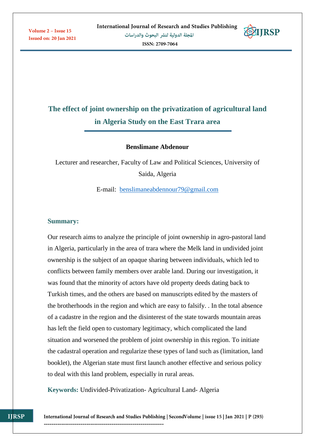Volume 2 - Issue 15 **Issued on: 20 Jan 2021** 

ISSN: 2709-7064

# **ETIRSP**

# **The effect of joint ownership on the privatization of agricultural land in Algeria Study on the East Trara area**

#### **Benslimane Abdenour**

Lecturer and researcher, Faculty of Law and Political Sciences, University of Saida, Algeria

E-mail: [benslimaneabdennour79@gmail.com](mailto:benslimaneabdennour79@gmail.com)

#### **Summary:**

Our research aims to analyze the principle of joint ownership in agro-pastoral land in Algeria, particularly in the area of trara where the Melk land in undivided joint ownership is the subject of an opaque sharing between individuals, which led to conflicts between family members over arable land. During our investigation, it was found that the minority of actors have old property deeds dating back to Turkish times, and the others are based on manuscripts edited by the masters of the brotherhoods in the region and which are easy to falsify. . In the total absence of a cadastre in the region and the disinterest of the state towards mountain areas has left the field open to customary legitimacy, which complicated the land situation and worsened the problem of joint ownership in this region. To initiate the cadastral operation and regularize these types of land such as (limitation, land booklet), the Algerian state must first launch another effective and serious policy to deal with this land problem, especially in rural areas.

**Keywords:** Undivided-Privatization- Agricultural Land- Algeria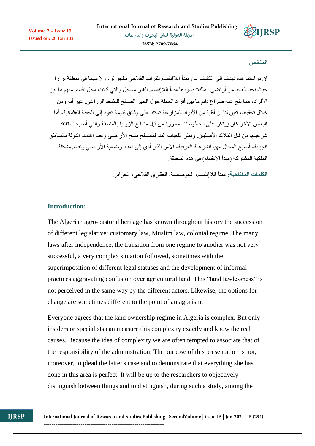

#### **الملخص**

**EXTIRSP** 

إن دراستنا هذه تهدف إلى الكشف عن مبدأ الالإنقسام للترات الفالحي بالجزائر، وال سيما في منطقة ترارا حيث نجد العديد من أراضي "ملك" يسودها مبدأ الالإنقسام الغير مسجل والتي كانت محل تقسيم مبهم ما بين األفراد، مما نتج عنه صراع دائم ما بين أفراد العائلة حول الحيز الصالح للنشاط الزراعي. غير أنه ومن خلال تحقيقنا، تبين لنا أن أقلية من الأفراد المزارعة تستند على وثائق قديمة تعود إلى الحقبة العثمانية، أما البعض الأخر كان يرتكز على مخطوطات محررة من قبل مشايخ الزوايا بالمنطقة والتي أصبحت تفتقد شر عيتها من قبل الملاك الأصليين. ونظرا للغياب التام لمصالح مسح الأراضي وعدم اهتمام الدولة بالمناطق الجبلية، أصبح المجال مهيأ للشرعية العرفية، الأمر الذي أدى إلى تعقيد وضعية الأراضي وتفاقم مشكلة الملكية المشتركة (مبدأ الانقسام) في هذه المنطقة.

**الكلمات المفتاحية:** مبدأ الالإنقسام، الخوصصة، العقاري الفالحي، الجزائر.

# **Introduction:**

The Algerian agro-pastoral heritage has known throughout history the succession of different legislative: customary law, Muslim law, colonial regime. The many laws after independence, the transition from one regime to another was not very successful, a very complex situation followed, sometimes with the superimposition of different legal statuses and the development of informal practices aggravating confusion over agricultural land. This "land lawlessness" is not perceived in the same way by the different actors. Likewise, the options for change are sometimes different to the point of antagonism.

Everyone agrees that the land ownership regime in Algeria is complex. But only insiders or specialists can measure this complexity exactly and know the real causes. Because the idea of complexity we are often tempted to associate that of the responsibility of the administration. The purpose of this presentation is not, moreover, to plead the latter's case and to demonstrate that everything she has done in this area is perfect. It will be up to the researchers to objectively distinguish between things and to distinguish, during such a study, among the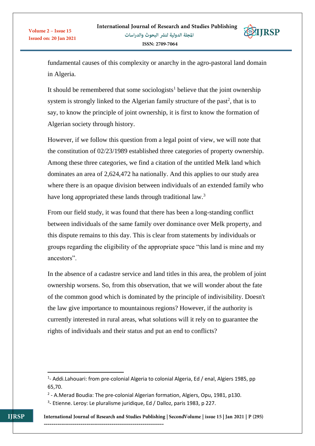

fundamental causes of this complexity or anarchy in the agro-pastoral land domain in Algeria.

It should be remembered that some sociologists<sup>1</sup> believe that the joint ownership system is strongly linked to the Algerian family structure of the past<sup>2</sup>, that is to say, to know the principle of joint ownership, it is first to know the formation of Algerian society through history.

However, if we follow this question from a legal point of view, we will note that the constitution of 02/23/1989 established three categories of property ownership. Among these three categories, we find a citation of the untitled Melk land which dominates an area of 2,624,472 ha nationally. And this applies to our study area where there is an opaque division between individuals of an extended family who have long appropriated these lands through traditional law.<sup>3</sup>

From our field study, it was found that there has been a long-standing conflict between individuals of the same family over dominance over Melk property, and this dispute remains to this day. This is clear from statements by individuals or groups regarding the eligibility of the appropriate space "this land is mine and my ancestors".

In the absence of a cadastre service and land titles in this area, the problem of joint ownership worsens. So, from this observation, that we will wonder about the fate of the common good which is dominated by the principle of indivisibility. Doesn't the law give importance to mountainous regions? However, if the authority is currently interested in rural areas, what solutions will it rely on to guarantee the rights of individuals and their status and put an end to conflicts?

 $\overline{a}$ 

<sup>&</sup>lt;sup>1</sup>- Addi.Lahouari: from pre-colonial Algeria to colonial Algeria, Ed / enal, Algiers 1985, pp 65,70.

<sup>&</sup>lt;sup>2</sup> - A.Merad Boudia: The pre-colonial Algerian formation, Algiers, Opu, 1981, p130.

<sup>&</sup>lt;sup>3</sup>- Etienne. Leroy: Le pluralisme juridique, Ed / Dalloz, paris 1983, p 227.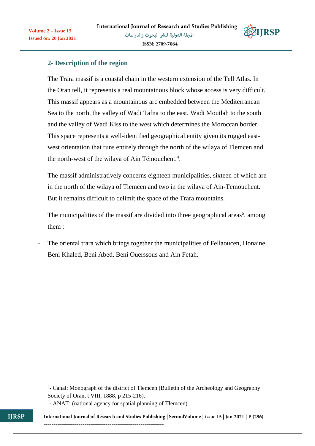

# **2- Description of the region**

Volume 2 - Issue 15

**Issued on: 20 Jan 2021** 

The Trara massif is a coastal chain in the western extension of the Tell Atlas. In the Oran tell, it represents a real mountainous block whose access is very difficult. This massif appears as a mountainous arc embedded between the Mediterranean Sea to the north, the valley of Wadi Tafna to the east, Wadi Mouilah to the south and the valley of Wadi Kiss to the west which determines the Moroccan border. . This space represents a well-identified geographical entity given its rugged eastwest orientation that runs entirely through the north of the wilaya of Tlemcen and the north-west of the wilaya of Ain Témouchent.<sup>4</sup>.

The massif administratively concerns eighteen municipalities, sixteen of which are in the north of the wilaya of Tlemcen and two in the wilaya of Ain-Temouchent. But it remains difficult to delimit the space of the Trara mountains.

The municipalities of the massif are divided into three geographical areas<sup>5</sup>, among them :

The oriental trara which brings together the municipalities of Fellaoucen, Honaine, Beni Khaled, Beni Abed, Beni Ouerssous and Ain Fetah.

--------------------------------------------------------------

**.** 

<sup>&</sup>lt;sup>4</sup>- Canal: Monograph of the district of Tlemcen (Bulletin of the Archeology and Geography Society of Oran, t VIII, 1888, p 215-216).

<sup>&</sup>lt;sup>5</sup>- ANAT: (national agency for spatial planning of Tlemcen).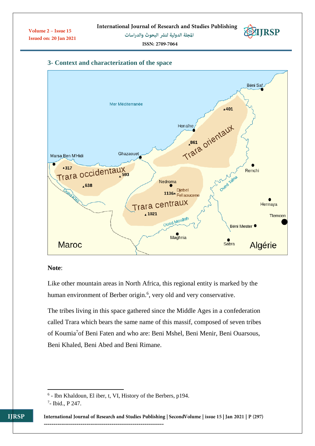### **3- Context and characterization of the space**



#### **Note**:

Like other mountain areas in North Africa, this regional entity is marked by the human environment of Berber origin.<sup>6</sup>, very old and very conservative.

The tribes living in this space gathered since the Middle Ages in a confederation called Trara which bears the same name of this massif, composed of seven tribes of Koumia<sup>7</sup>of Beni Faten and who are: Beni Mshel, Beni Menir, Beni Ouarsous, Beni Khaled, Beni Abed and Beni Rimane.

 6 - Ibn Khaldoun, El iber, t, VI, History of the Berbers, p194.

<sup>7</sup> - Ibid., P 247.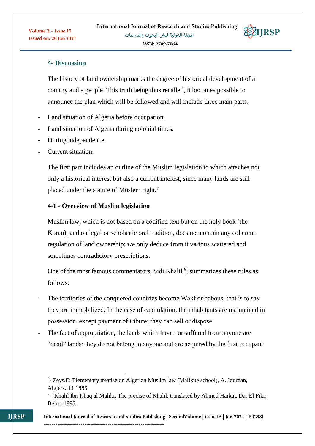

# **4- Discussion**

The history of land ownership marks the degree of historical development of a country and a people. This truth being thus recalled, it becomes possible to announce the plan which will be followed and will include three main parts:

- Land situation of Algeria before occupation.
- Land situation of Algeria during colonial times.
- During independence.
- Current situation.

The first part includes an outline of the Muslim legislation to which attaches not only a historical interest but also a current interest, since many lands are still placed under the statute of Moslem right.<sup>8</sup>

### **4-1 - Overview of Muslim legislation**

--------------------------------------------------------------

Muslim law, which is not based on a codified text but on the holy book (the Koran), and on legal or scholastic oral tradition, does not contain any coherent regulation of land ownership; we only deduce from it various scattered and sometimes contradictory prescriptions.

One of the most famous commentators, Sidi Khalil<sup>9</sup>, summarizes these rules as follows:

- The territories of the conquered countries become Wakf or habous, that is to say they are immobilized. In the case of capitulation, the inhabitants are maintained in possession, except payment of tribute; they can sell or dispose.
- The fact of appropriation, the lands which have not suffered from anyone are "dead" lands; they do not belong to anyone and are acquired by the first occupant

<sup>1</sup> 8 - Zeys.E: Elementary treatise on Algerian Muslim law (Malikite school), A. Jourdan, Algiers. T1 1885.

<sup>&</sup>lt;sup>9</sup> - Khalil Ibn Ishaq al Maliki: The precise of Khalil, translated by Ahmed Harkat, Dar El Fikr, Beirut 1995.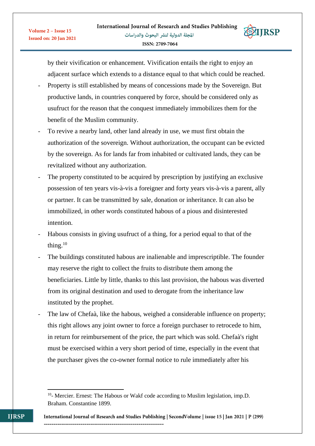**EXTIRSP** 



- Property is still established by means of concessions made by the Sovereign. But productive lands, in countries conquered by force, should be considered only as usufruct for the reason that the conquest immediately immobilizes them for the benefit of the Muslim community.
- To revive a nearby land, other land already in use, we must first obtain the authorization of the sovereign. Without authorization, the occupant can be evicted by the sovereign. As for lands far from inhabited or cultivated lands, they can be revitalized without any authorization.
- The property constituted to be acquired by prescription by justifying an exclusive possession of ten years vis-à-vis a foreigner and forty years vis-à-vis a parent, ally or partner. It can be transmitted by sale, donation or inheritance. It can also be immobilized, in other words constituted habous of a pious and disinterested intention.
- Habous consists in giving usufruct of a thing, for a period equal to that of the thing. $10$
- The buildings constituted habous are inalienable and imprescriptible. The founder may reserve the right to collect the fruits to distribute them among the beneficiaries. Little by little, thanks to this last provision, the habous was diverted from its original destination and used to derogate from the inheritance law instituted by the prophet.
- The law of Chefaà, like the habous, weighed a considerable influence on property; this right allows any joint owner to force a foreign purchaser to retrocede to him, in return for reimbursement of the price, the part which was sold. Chefaà's right must be exercised within a very short period of time, especially in the event that the purchaser gives the co-owner formal notice to rule immediately after his

**<sup>.</sup>** <sup>10</sup>- Mercier. Ernest: The Habous or Wakf code according to Muslim legislation, imp.D. Braham. Constantine 1899.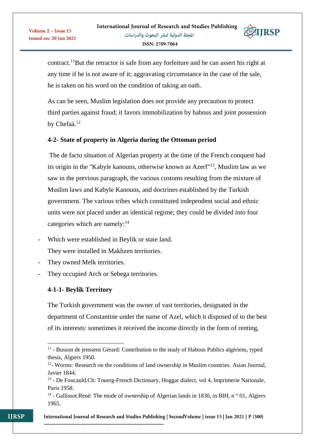**STIRSP** 



As can be seen, Muslim legislation does not provide any precaution to protect third parties against fraud; it favors immobilization by habous and joint possession by Chefaà.<sup>12</sup>

# **4-2- State of property in Algeria during the Ottoman period**

The de facto situation of Algerian property at the time of the French conquest had its origin in the "Kabyle kanouns, otherwise known as Azerf"<sup>13</sup>, Muslim law as we saw in the previous paragraph, the various customs resulting from the mixture of Muslim laws and Kabyle Kanouns, and doctrines established by the Turkish government. The various tribes which constituted independent social and ethnic units were not placed under an identical regime; they could be divided into four categories which are namely: $14$ 

- Which were established in Beylik or state land. They were installed in Makhzen territories.
- They owned Melk territories.
- They occupied Arch or Sebega territories.

--------------------------------------------------------------

# **4-1-1- Beylik Territory**

**.** 

The Turkish government was the owner of vast territories, designated in the department of Constantine under the name of Azel, which it disposed of to the best of its interests: sometimes it received the income directly in the form of renting,

<sup>&</sup>lt;sup>11</sup> - Busson de jenssens Gérard: Contribution to the study of Habous Publics algériens, typed thesis, Algiers 1950.

<sup>&</sup>lt;sup>12</sup>- Worms: Research on the conditions of land ownership in Muslim countries. Asian Journal, Javier 1844.

<sup>&</sup>lt;sup>13</sup> - De Foucauld.Ch: Touerg-French Dictionary, Hoggar dialect, vol 4, Imprimerie Nationale, Paris 1958.

<sup>&</sup>lt;sup>14</sup> - Gallissot.René: The mode of ownership of Algerian lands in 1830, in BIH, n<sup>o</sup> 01, Algiers 1965.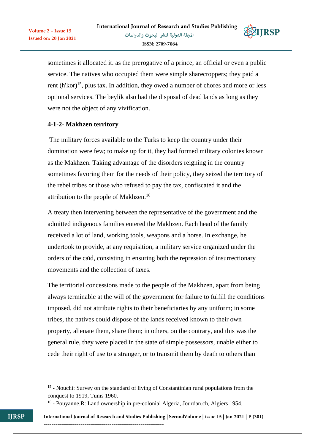

sometimes it allocated it. as the prerogative of a prince, an official or even a public service. The natives who occupied them were simple sharecroppers; they paid a rent  $(h'kor)^{15}$ , plus tax. In addition, they owed a number of chores and more or less optional services. The beylik also had the disposal of dead lands as long as they were not the object of any vivification.

# **4-1-2- Makhzen territory**

Volume 2 - Issue 15

**Issued on: 20 Jan 2021** 

The military forces available to the Turks to keep the country under their domination were few; to make up for it, they had formed military colonies known as the Makhzen. Taking advantage of the disorders reigning in the country sometimes favoring them for the needs of their policy, they seized the territory of the rebel tribes or those who refused to pay the tax, confiscated it and the attribution to the people of Makhzen.<sup>16</sup>

A treaty then intervening between the representative of the government and the admitted indigenous families entered the Makhzen. Each head of the family received a lot of land, working tools, weapons and a horse. In exchange, he undertook to provide, at any requisition, a military service organized under the orders of the caïd, consisting in ensuring both the repression of insurrectionary movements and the collection of taxes.

The territorial concessions made to the people of the Makhzen, apart from being always terminable at the will of the government for failure to fulfill the conditions imposed, did not attribute rights to their beneficiaries by any uniform; in some tribes, the natives could dispose of the lands received known to their own property, alienate them, share them; in others, on the contrary, and this was the general rule, they were placed in the state of simple possessors, unable either to cede their right of use to a stranger, or to transmit them by death to others than

--------------------------------------------------------------

**.** 

<sup>&</sup>lt;sup>15</sup> - Nouchi: Survey on the standard of living of Constantinian rural populations from the conquest to 1919, Tunis 1960.

<sup>&</sup>lt;sup>16</sup> - Pouyanne.R: Land ownership in pre-colonial Algeria, Jourdan.ch, Algiers 1954.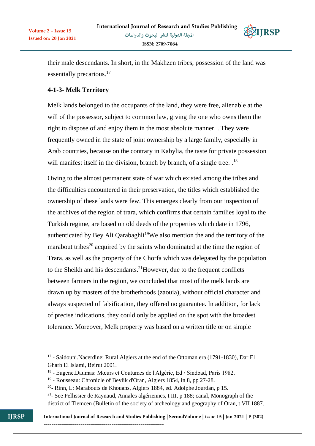**STIRSP** 

their male descendants. In short, in the Makhzen tribes, possession of the land was essentially precarious.<sup>17</sup>

# **4-1-3- Melk Territory**

Melk lands belonged to the occupants of the land, they were free, alienable at the will of the possessor, subject to common law, giving the one who owns them the right to dispose of and enjoy them in the most absolute manner. . They were frequently owned in the state of joint ownership by a large family, especially in Arab countries, because on the contrary in Kabylia, the taste for private possession will manifest itself in the division, branch by branch, of a single tree.  $1<sup>8</sup>$ 

Owing to the almost permanent state of war which existed among the tribes and the difficulties encountered in their preservation, the titles which established the ownership of these lands were few. This emerges clearly from our inspection of the archives of the region of trara, which confirms that certain families loyal to the Turkish regime, are based on old deeds of the properties which date in 1796, authenticated by Bey Ali Qarabaghli<sup>19</sup>We also mention the and the territory of the marabout tribes<sup>20</sup> acquired by the saints who dominated at the time the region of Trara, as well as the property of the Chorfa which was delegated by the population to the Sheikh and his descendants.<sup>21</sup>However, due to the frequent conflicts between farmers in the region, we concluded that most of the melk lands are drawn up by masters of the brotherhoods (zaouia), without official character and always suspected of falsification, they offered no guarantee. In addition, for lack of precise indications, they could only be applied on the spot with the broadest tolerance. Moreover, Melk property was based on a written title or on simple

**<sup>.</sup>** <sup>17</sup> - Saidouni.Nacerdine: Rural Algiers at the end of the Ottoman era (1791-1830), Dar El Gharb El Islami, Beirut 2001.

<sup>&</sup>lt;sup>18</sup> - Eugene.Daumas: Mœurs et Coutumes de l'Algérie, Ed / Sindbad, Paris 1982.

<sup>&</sup>lt;sup>19</sup> - Rousseau: Chronicle of Beylik d'Oran, Algiers 1854, in 8, pp 27-28.

<sup>&</sup>lt;sup>20</sup>- Rinn, L: Marabouts de Khouans, Algiers 1884, ed. Adolphe Jourdan, p 15.

<sup>&</sup>lt;sup>21</sup>- See Pellissier de Raynaud, Annales algériennes, t III, p 188; canal, Monograph of the district of Tlemcen (Bulletin of the society of archeology and geography of Oran, t VII 1887.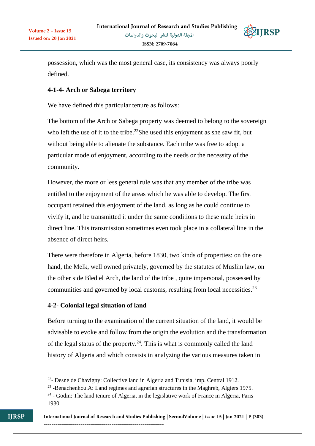

possession, which was the most general case, its consistency was always poorly defined.

# **4-1-4- Arch or Sabega territory**

We have defined this particular tenure as follows:

The bottom of the Arch or Sabega property was deemed to belong to the sovereign who left the use of it to the tribe.<sup>22</sup>She used this enjoyment as she saw fit, but without being able to alienate the substance. Each tribe was free to adopt a particular mode of enjoyment, according to the needs or the necessity of the community.

However, the more or less general rule was that any member of the tribe was entitled to the enjoyment of the areas which he was able to develop. The first occupant retained this enjoyment of the land, as long as he could continue to vivify it, and he transmitted it under the same conditions to these male heirs in direct line. This transmission sometimes even took place in a collateral line in the absence of direct heirs.

There were therefore in Algeria, before 1830, two kinds of properties: on the one hand, the Melk, well owned privately, governed by the statutes of Muslim law, on the other side Bled el Arch, the land of the tribe , quite impersonal, possessed by communities and governed by local customs, resulting from local necessities.<sup>23</sup>

### **4-2- Colonial legal situation of land**

--------------------------------------------------------------

Before turning to the examination of the current situation of the land, it would be advisable to evoke and follow from the origin the evolution and the transformation of the legal status of the property.<sup>24</sup>. This is what is commonly called the land history of Algeria and which consists in analyzing the various measures taken in

1

<sup>&</sup>lt;sup>22</sup>- Desne de Chavigny: Collective land in Algeria and Tunisia, imp. Central 1912.

<sup>&</sup>lt;sup>23</sup> -Benachenhou.A: Land regimes and agrarian structures in the Maghreb, Algiers 1975.

<sup>&</sup>lt;sup>24</sup> - Godin: The land tenure of Algeria, in the legislative work of France in Algeria, Paris 1930.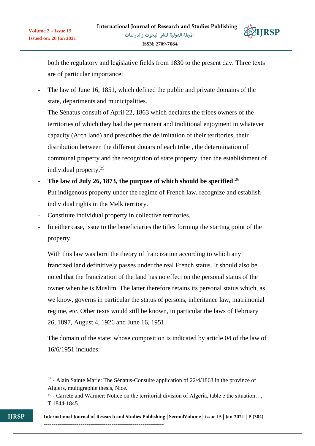

both the regulatory and legislative fields from 1830 to the present day. Three texts are of particular importance:

- The law of June 16, 1851, which defined the public and private domains of the state, departments and municipalities.
- The Sénatus-consult of April 22, 1863 which declares the tribes owners of the territories of which they had the permanent and traditional enjoyment in whatever capacity (Arch land) and prescribes the delimitation of their territories, their distribution between the different douars of each tribe , the determination of communal property and the recognition of state property, then the establishment of individual property.<sup>25</sup>
- **The law of July 26, 1873, the purpose of which should be specified**: 26
- Put indigenous property under the regime of French law, recognize and establish individual rights in the Melk territory.
- Constitute individual property in collective territories.
- In either case, issue to the beneficiaries the titles forming the starting point of the property.

With this law was born the theory of francization according to which any francized land definitively passes under the real French status. It should also be noted that the francization of the land has no effect on the personal status of the owner when he is Muslim. The latter therefore retains its personal status which, as we know, governs in particular the status of persons, inheritance law, matrimonial regime, etc. Other texts would still be known, in particular the laws of February 26, 1897, August 4, 1926 and June 16, 1951.

The domain of the state: whose composition is indicated by article 04 of the law of 16/6/1951 includes:

--------------------------------------------------------------

1

 $2<sup>25</sup>$  - Alain Sainte Marie: The Sénatus-Consulte application of 22/4/1863 in the province of Algiers, multigraphie thesis, Nice.

 $26$  - Carrete and Warnier: Notice on the territorial division of Algeria, table e the situation..., T.1844-1845.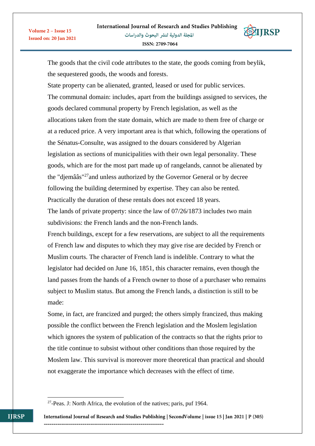**EXTIRSP** 

The goods that the civil code attributes to the state, the goods coming from beylik, the sequestered goods, the woods and forests.

State property can be alienated, granted, leased or used for public services. The communal domain: includes, apart from the buildings assigned to services, the goods declared communal property by French legislation, as well as the allocations taken from the state domain, which are made to them free of charge or at a reduced price. A very important area is that which, following the operations of the Sénatus-Consulte, was assigned to the douars considered by Algerian legislation as sections of municipalities with their own legal personality. These goods, which are for the most part made up of rangelands, cannot be alienated by the "djemââs"<sup>27</sup>and unless authorized by the Governor General or by decree following the building determined by expertise. They can also be rented. Practically the duration of these rentals does not exceed 18 years. The lands of private property: since the law of 07/26/1873 includes two main

subdivisions: the French lands and the non-French lands.

French buildings, except for a few reservations, are subject to all the requirements of French law and disputes to which they may give rise are decided by French or Muslim courts. The character of French land is indelible. Contrary to what the legislator had decided on June 16, 1851, this character remains, even though the land passes from the hands of a French owner to those of a purchaser who remains subject to Muslim status. But among the French lands, a distinction is still to be made:

Some, in fact, are francized and purged; the others simply francized, thus making possible the conflict between the French legislation and the Moslem legislation which ignores the system of publication of the contracts so that the rights prior to the title continue to subsist without other conditions than those required by the Moslem law. This survival is moreover more theoretical than practical and should not exaggerate the importance which decreases with the effect of time.

International Journal of Research and Studies Publishing | SecondVolume | issue 15 | Jan 2021 | P (305) --------------------------------------------------------------

**.** 

Volume 2 - Issue 15

**Issued on: 20 Jan 2021** 

<sup>&</sup>lt;sup>27</sup>-Peas. J: North Africa, the evolution of the natives; paris, puf 1964.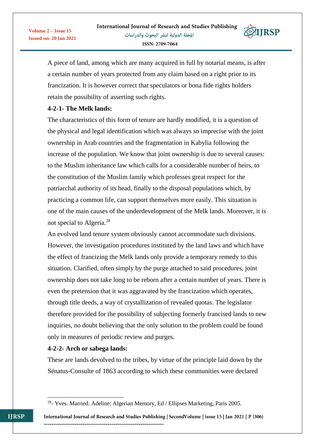**SEIRSP** 



a certain number of years protected from any claim based on a right prior to its francization. It is however correct that speculators or bona fide rights holders retain the possibility of asserting such rights.

# **4-2-1- The Melk lands:**

Volume 2 - Issue 15

**Issued on: 20 Jan 2021** 

The characteristics of this form of tenure are hardly modified, it is a question of the physical and legal identification which was always so imprecise with the joint ownership in Arab countries and the fragmentation in Kabylia following the increase of the population. We know that joint ownership is due to several causes: to the Muslim inheritance law which calls for a considerable number of heirs, to the constitution of the Muslim family which professes great respect for the patriarchal authority of its head, finally to the disposal populations which, by practicing a common life, can support themselves more easily. This situation is one of the main causes of the underdevelopment of the Melk lands. Moreover, it is not special to Algeria.<sup>28</sup>

An evolved land tenure system obviously cannot accommodate such divisions. However, the investigation procedures instituted by the land laws and which have the effect of francizing the Melk lands only provide a temporary remedy to this situation. Clarified, often simply by the purge attached to said procedures, joint ownership does not take long to be reborn after a certain number of years. There is even the pretension that it was aggravated by the francization which operates, through title deeds, a way of crystallization of revealed quotas. The legislator therefore provided for the possibility of subjecting formerly francised lands to new inquiries, no doubt believing that the only solution to the problem could be found only in measures of periodic review and purges.

### **4-2-2- Arch or sabega lands:**

These are lands devolved to the tribes, by virtue of the principle laid down by the Sénatus-Consulte of 1863 according to which these communities were declared

**.** 

<sup>&</sup>lt;sup>28</sup>- Yves. Married. Adeline: Algerian Memory, Ed / Ellipses Marketing, Paris 2005.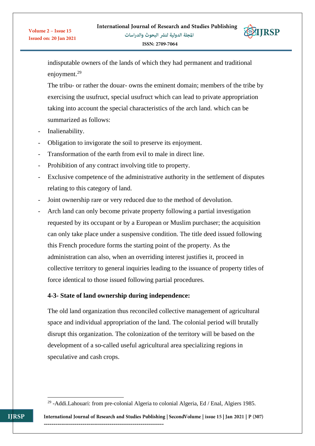**EXTIRSP** 

indisputable owners of the lands of which they had permanent and traditional enjoyment.<sup>29</sup>

The tribu- or rather the douar- owns the eminent domain; members of the tribe by exercising the usufruct, special usufruct which can lead to private appropriation taking into account the special characteristics of the arch land. which can be summarized as follows:

Inalienability.

Volume 2 - Issue 15

**Issued on: 20 Jan 2021** 

- Obligation to invigorate the soil to preserve its enjoyment.
- Transformation of the earth from evil to male in direct line.
- Prohibition of any contract involving title to property.
- Exclusive competence of the administrative authority in the settlement of disputes relating to this category of land.
- Joint ownership rare or very reduced due to the method of devolution.
- Arch land can only become private property following a partial investigation requested by its occupant or by a European or Muslim purchaser; the acquisition can only take place under a suspensive condition. The title deed issued following this French procedure forms the starting point of the property. As the administration can also, when an overriding interest justifies it, proceed in collective territory to general inquiries leading to the issuance of property titles of force identical to those issued following partial procedures.

# **4-3- State of land ownership during independence:**

The old land organization thus reconciled collective management of agricultural space and individual appropriation of the land. The colonial period will brutally disrupt this organization. The colonization of the territory will be based on the development of a so-called useful agricultural area specializing regions in speculative and cash crops.

**<sup>.</sup>** <sup>29</sup> -Addi.Lahouari: from pre-colonial Algeria to colonial Algeria, Ed / Enal, Algiers 1985.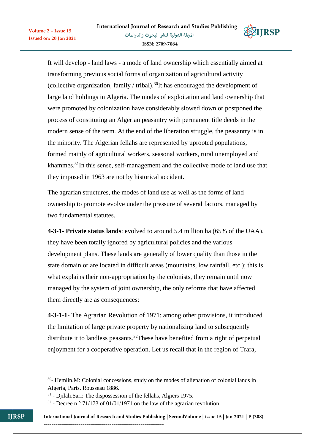

It will develop - land laws - a mode of land ownership which essentially aimed at transforming previous social forms of organization of agricultural activity (collective organization, family / tribal).<sup>30</sup>It has encouraged the development of large land holdings in Algeria. The modes of exploitation and land ownership that were promoted by colonization have considerably slowed down or postponed the process of constituting an Algerian peasantry with permanent title deeds in the modern sense of the term. At the end of the liberation struggle, the peasantry is in the minority. The Algerian fellahs are represented by uprooted populations, formed mainly of agricultural workers, seasonal workers, rural unemployed and khammes.<sup>31</sup>In this sense, self-management and the collective mode of land use that they imposed in 1963 are not by historical accident.

The agrarian structures, the modes of land use as well as the forms of land ownership to promote evolve under the pressure of several factors, managed by two fundamental statutes.

**4-3-1- Private status lands**: evolved to around 5.4 million ha (65% of the UAA), they have been totally ignored by agricultural policies and the various development plans. These lands are generally of lower quality than those in the state domain or are located in difficult areas (mountains, low rainfall, etc.); this is what explains their non-appropriation by the colonists, they remain until now managed by the system of joint ownership, the only reforms that have affected them directly are as consequences:

**4-3-1-1**- The Agrarian Revolution of 1971: among other provisions, it introduced the limitation of large private property by nationalizing land to subsequently distribute it to landless peasants.<sup>32</sup>These have benefited from a right of perpetual enjoyment for a cooperative operation. Let us recall that in the region of Trara,

--------------------------------------------------------------

International Journal of Research and Studies Publishing | SecondVolume | issue 15 | Jan 2021 | P (308)

1

Volume 2 - Issue 15

**Issued on: 20 Jan 2021** 

<sup>&</sup>lt;sup>30</sup>- Hemlin.M: Colonial concessions, study on the modes of alienation of colonial lands in Algeria, Paris. Rousseau 1886.

<sup>&</sup>lt;sup>31</sup> - Djilali.Sari: The dispossession of the fellahs, Algiers 1975.

 $32$  - Decree n  $\degree$  71/173 of 01/01/1971 on the law of the agrarian revolution.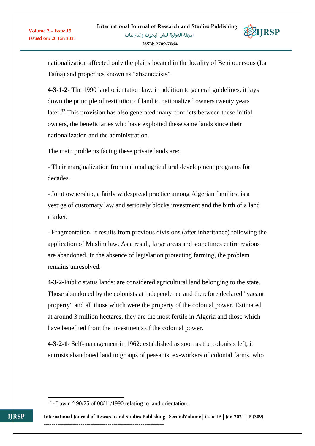

nationalization affected only the plains located in the locality of Beni ouersous (La Tafna) and properties known as "absenteeists".

**4-3-1-2**- The 1990 land orientation law: in addition to general guidelines, it lays down the principle of restitution of land to nationalized owners twenty years later.<sup>33</sup> This provision has also generated many conflicts between these initial owners, the beneficiaries who have exploited these same lands since their nationalization and the administration.

The main problems facing these private lands are:

- Their marginalization from national agricultural development programs for decades.

- Joint ownership, a fairly widespread practice among Algerian families, is a vestige of customary law and seriously blocks investment and the birth of a land market.

- Fragmentation, it results from previous divisions (after inheritance) following the application of Muslim law. As a result, large areas and sometimes entire regions are abandoned. In the absence of legislation protecting farming, the problem remains unresolved.

**4-3-2-**Public status lands: are considered agricultural land belonging to the state. Those abandoned by the colonists at independence and therefore declared "vacant property" and all those which were the property of the colonial power. Estimated at around 3 million hectares, they are the most fertile in Algeria and those which have benefited from the investments of the colonial power.

**4-3-2-1**- Self-management in 1962: established as soon as the colonists left, it entrusts abandoned land to groups of peasants, ex-workers of colonial farms, who

**.** 

 $33$  - Law n  $\degree$  90/25 of 08/11/1990 relating to land orientation.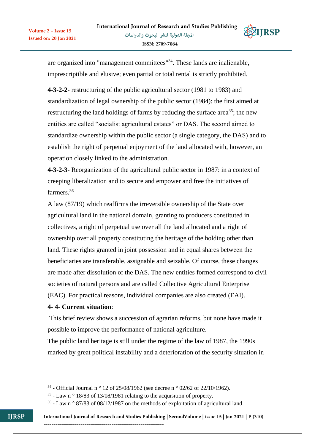**STIRSP** 



are organized into "management committees"<sup>34</sup>. These lands are inalienable, imprescriptible and elusive; even partial or total rental is strictly prohibited.

**4-3-2-2**- restructuring of the public agricultural sector (1981 to 1983) and standardization of legal ownership of the public sector (1984): the first aimed at restructuring the land holdings of farms by reducing the surface area<sup>35</sup>; the new entities are called "socialist agricultural estates" or DAS. The second aimed to standardize ownership within the public sector (a single category, the DAS) and to establish the right of perpetual enjoyment of the land allocated with, however, an operation closely linked to the administration.

**4-3-2-3**- Reorganization of the agricultural public sector in 1987: in a context of creeping liberalization and to secure and empower and free the initiatives of farmers<sup>36</sup>

A law (87/19) which reaffirms the irreversible ownership of the State over agricultural land in the national domain, granting to producers constituted in collectives, a right of perpetual use over all the land allocated and a right of ownership over all property constituting the heritage of the holding other than land. These rights granted in joint possession and in equal shares between the beneficiaries are transferable, assignable and seizable. Of course, these changes are made after dissolution of the DAS. The new entities formed correspond to civil societies of natural persons and are called Collective Agricultural Enterprise (EAC). For practical reasons, individual companies are also created (EAI).

### **4- 4- Current situation**:

This brief review shows a succession of agrarian reforms, but none have made it possible to improve the performance of national agriculture.

The public land heritage is still under the regime of the law of 1987, the 1990s marked by great political instability and a deterioration of the security situation in

--------------------------------------------------------------

**.** 

Volume 2 - Issue 15

**Issued on: 20 Jan 2021** 

<sup>&</sup>lt;sup>34</sup> - Official Journal n<sup>o</sup> 12 of 25/08/1962 (see decree n<sup>o</sup> 02/62 of 22/10/1962).

 $35$  - Law n  $\circ$  18/83 of 13/08/1981 relating to the acquisition of property.

 $36$  - Law n  $\degree$  87/83 of 08/12/1987 on the methods of exploitation of agricultural land.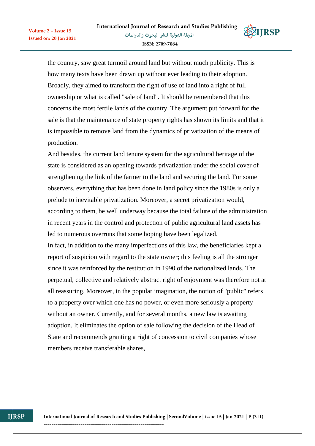**EXITRSP** 





And besides, the current land tenure system for the agricultural heritage of the state is considered as an opening towards privatization under the social cover of strengthening the link of the farmer to the land and securing the land. For some observers, everything that has been done in land policy since the 1980s is only a prelude to inevitable privatization. Moreover, a secret privatization would, according to them, be well underway because the total failure of the administration in recent years in the control and protection of public agricultural land assets has led to numerous overruns that some hoping have been legalized.

In fact, in addition to the many imperfections of this law, the beneficiaries kept a report of suspicion with regard to the state owner; this feeling is all the stronger since it was reinforced by the restitution in 1990 of the nationalized lands. The perpetual, collective and relatively abstract right of enjoyment was therefore not at all reassuring. Moreover, in the popular imagination, the notion of "public" refers to a property over which one has no power, or even more seriously a property without an owner. Currently, and for several months, a new law is awaiting adoption. It eliminates the option of sale following the decision of the Head of State and recommends granting a right of concession to civil companies whose members receive transferable shares,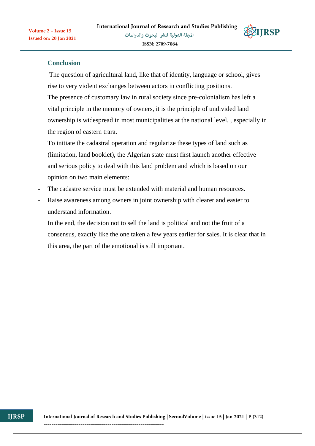**EIIRSP** 



The question of agricultural land, like that of identity, language or school, gives rise to very violent exchanges between actors in conflicting positions. The presence of customary law in rural society since pre-colonialism has left a vital principle in the memory of owners, it is the principle of undivided land ownership is widespread in most municipalities at the national level. , especially in the region of eastern trara.

To initiate the cadastral operation and regularize these types of land such as (limitation, land booklet), the Algerian state must first launch another effective and serious policy to deal with this land problem and which is based on our opinion on two main elements:

- The cadastre service must be extended with material and human resources.
- Raise awareness among owners in joint ownership with clearer and easier to understand information.

In the end, the decision not to sell the land is political and not the fruit of a consensus, exactly like the one taken a few years earlier for sales. It is clear that in this area, the part of the emotional is still important.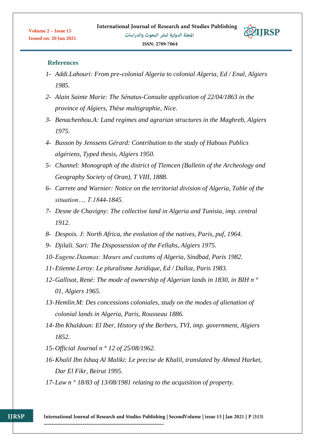**EXTIRSP** 

#### **References**

- *1- Addi.Lahouri: From pre-colonial Algeria to colonial Algeria, Ed / Enal, Algiers 1985.*
- *2- Alain Sainte Marie: The Sénatus-Consulte application of 22/04/1863 in the province of Algiers, Thèse multigraphie, Nice.*
- *3- Benachenhou.A: Land regimes and agrarian structures in the Maghreb, Algiers 1975.*
- *4- Busson by Jenssens Gérard: Contribution to the study of Habous Publics algériens, Typed thesis, Algiers 1950.*
- *5- Channel: Monograph of the district of Tlemcen (Bulletin of the Archeology and Geography Society of Oran), T VIII, 1888.*
- *6- Carrete and Warnier: Notice on the territorial division of Algeria, Table of the situation…, T.1844-1845.*
- *7- Desne de Chavigny: The collective land in Algeria and Tunisia, imp. central 1912.*
- *8- Despois. J: North Africa, the evolution of the natives, Paris, puf, 1964.*
- *9- Djilali. Sari: The Dispossession of the Fellahs, Algiers 1975.*
- *10-Eugene.Daumas: Mœurs and customs of Algeria, Sindbad, Paris 1982.*
- *11-Etienne.Leroy: Le pluralisme Juridique, Ed / Dalloz, Paris 1983.*
- *12-Gallisot, René: The mode of ownership of Algerian lands in 1830, in BIH n ° 01, Algiers 1965.*
- *13-Hemlin.M: Des concessions coloniales, study on the modes of alienation of colonial lands in Algeria, Paris, Rousseau 1886.*
- *14-Ibn Khaldoun: El Iber, History of the Berbers, TVI, imp. government, Algiers 1852.*
- *15-Official Journal n ° 12 of 25/08/1962.*

- *16-Khalil Ibn Ishaq Al Maliki: Le precise de Khalil, translated by Ahmed Harket, Dar El Fikr, Beirut 1995.*
- *17-Law n ° 18/83 of 13/08/1981 relating to the acquisition of property.*